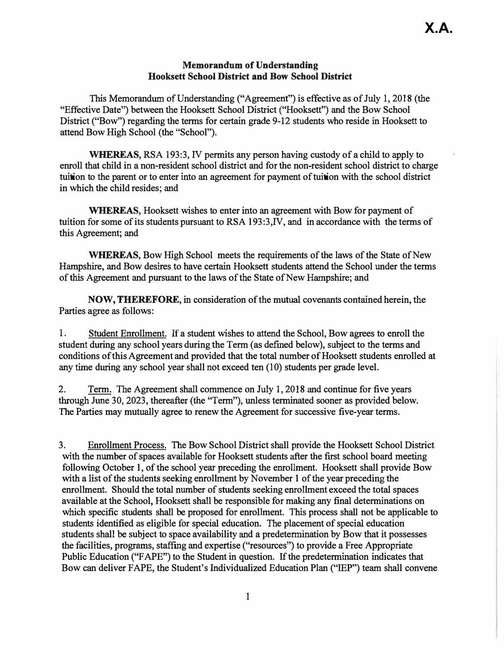## **Memorandum of Understanding Hooksett School District and Bow School District**

**This Memorandum of Understanding ("Agreement") is effective as of July 1, 2018 (the "Effective Date") between the Hooksett School District ("Hooksett") and the Bow School District ("Bow") regarding the terms for certain grade 9-12 students who reside in Hooksett to attend Bow High School (the "School").** 

**WHEREAS, RSA 193:3, IV permits any person having custody of a child to apply to enroll that child in a non-resident school district and for the non-resident school district to charge tuition to the parent or to enter into an agreement for payment of tuition with the school district in which the child resides; and** 

**WHEREAS, Hooksett wishes to enter into an agreement with Bow for payment of tuition for some of its students pursuant to RSA 193:3,IV, and in accordance with the terms of this Agreement; and** 

**WHEREAS, Bow Hjgh School meets the requirements of the laws of the State of New Hampshire, and Bow desires to have certain Hooksett students attend the School under the terms of this Agreement and pursuant to the laws of the State of New Hampshire; and** 

**NOW, THEREFORE, in consideration of the mutual covenants contained herein, the Parties agree as follows:** 

**1. Student Enrollment. If a student wishes to attend the School, Bow agrees to enroll the student during any school years during the Term (as defined below), subject to the terms and conditions of this Agreement and provided that the total number of Hooksett students enrolled at any time during any school year shall not exceed ten (10) students per grade level.**

**2. Term. The Agreement shall commence on July 1, 2018 and continue for five years through June 30, 2023, thereafter (the "Term"), unless terminated sooner as provided below. The Parties may mutually agree to renew the Agreement for successive five-year terms.**

**3. Enrollment Process. The Bow School District shall provide the Hooksett School District** with the number of spaces available for Hooksett students after the first school board meeting **following October 1, of the school year preceding the enrollment. Hooksett shall provide Bow with a list of the students seeking enrollment by November 1 of the year preceding the enrollment. Should the total number of students seeking enrollment exceed the total spaces available at the School, Hooksett shall be responsible for making any final determinations on which specific students shall be proposed for enrollment. This process shall not be applicable to students identified as eligible for special education. The placement of special education students shall be subject to space availability and a predetermination by Bow that it possesses the facilities, programs, staffmg and expertise (''resources") to provide a Free Appropriate Public Education ("F APE") to the Student in question. If the predetermination indicates that Bow can deliver F APE, the Student's Individualized Education Plan ("IEP") team shall convene**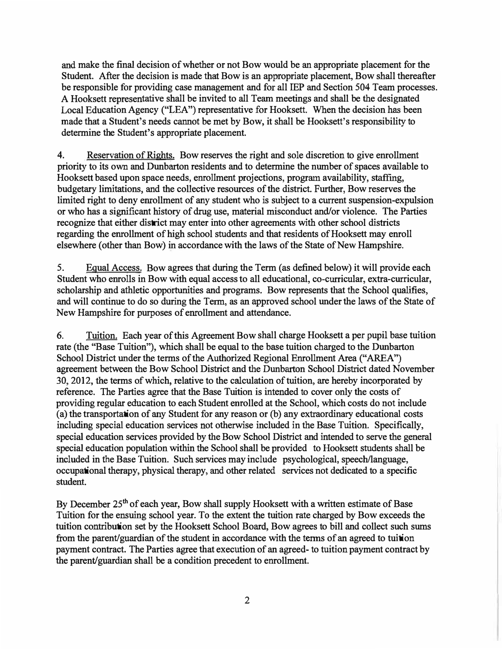**and make the final decision of whether or not Bow would be an appropriate placement for the Student. After the decision is made that Bow is an appropriate placement, Bow shall thereafter be responsible for providing case management and for all IEP and Section 504 Team processes. A Hooksett representative shall be invited to all Team meetings and shall be the designated Local Education Agency ("LEA") representative for Hooksett. When the decision has been made that a Student's needs cannot be met by Bow, it shall be Hooksett's responsibility to determine the Student's appropriate placement.** 

**4. Reservation of Rights. Bow reserves the right and sole discretion to give enrollment priority to its own and Dunbarton residents and to determine the number of spaces available to Hooksett based upon space needs, enrollment projections, program availability, staffing, budgetary limitations, and the collective resources of the district. Further, Bow reserves the limited right to deny enrollment of any student who is subject to a current suspension-expulsion or who has a significant history of drug use, material misconduct and/or violence. The Parties recognize that either district may enter into other agreements with other school districts regarding the enrollment of high school students and that residents of Hooksett may enroll elsewhere (other than Bow) in accordance with the laws of the State of New Hampshire.**

**5. Equal Access. Bow agrees that during the Term (as defined below) it will provide each Student who enrolls in Bow with equal access to all educational, co-curricular, extra-curricular, scholarship and athletic opportunities and programs. Bow represents that the School qualifies, and will continue to do so during the Term, as an approved school under the laws of the State of New Hampshire for purposes of enrollment and attendance.**

**6. Tuition. Each year of this Agreement Bow shall charge Hooksett a per pupil base tuition rate (the "Base Tuition"), which shall be equal to the base tuition charged to the Dunbarton School District under the terms of the Authorized Regional Enrollment Area ("AREA") agreement between the Bow School District and the Dunbarton School District dated November 30, 2012, the terms of which, relative to the calculation of tuition, are hereby incorporated by reference. The Parties agree that the Base Tuition is intended to cover only the costs of providing regular education to each Student enrolled at the School, which costs do not include (a) the transportation of any Student for any reason or (b) any extraordinary educational costs including special education services not otherwise included in the Base Tuition. Specifically, special education services provided by the Bow School District and intended to serve the general special education population within the School shall be provided to Hooksett students shall be included in the Base Tuition. Such services may include psychological, speech/language, occupational therapy, physical therapy, and other related services not dedicated to a specific student.**

**By December 25th of each year, Bow shall supply Hooksett with a written estimate of Base Tuition for the ensuing school year. To the extent the tuition rate charged by Bow exceeds the tuition contribution set by the Hooksett School Board, Bow agrees to bill and collect such sums from the parent/guardian of the student in accordance with the terms of an agreed to tuition payment contract. The Parties agree that execution of an agreed- to tuition payment contract by the parent/guardian shall be a condition precedent to enrollment.**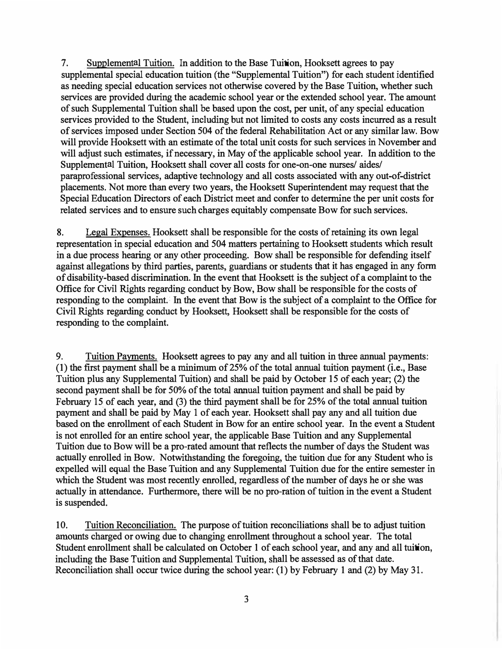7. Supplemental Tuition. In addition to the Base Tuition, Hooksett agrees to pay supplemental special education tuition (the "Supplemental Tuition") for each student identified as needing special education services not otherwise covered by the Base Tuition, whether such services are provided during the academic school year or the extended school year. The amount of such Supplemental Tuition shall be based upon the cost, per unit, of any special education services provided to the Student, including but not limited to costs any costs incurred as a result of services imposed under Section 504 of the federal Rehabilitation Act or any similar law. Bow will provide Hooksett with an estimate of the total unit costs for such services in November and will adjust such estimates, if necessary, in May of the applicable school year. In addition to the Supplemental Tuition, Hooksett shall cover all costs for one-on-one nurses/ aides/ paraprofessional services, adaptive technology and all costs associated with any out-of-district placements. Not more than every two years, the Hooksett Superintendent may request that the Special Education Directors of each District meet and confer to determine the per unit costs for related services and to ensure such charges equitably compensate Bow for such services.

8. Legal Expenses. Hooksett shall be responsible for the costs of retaining its own legal representation in special education and 504 matters pertaining to Hooksett students which result in a due process hearing or any other proceeding. Bow shall be responsible for defending itself against allegations by third parties, parents, guardians or students that it has engaged in any form of disability-based discrimination. In the event that Hooksett is the subject of a complaint to the Office for Civil Rights regarding conduct by Bow, Bow shall be responsible for the costs of responding to the complaint. In the event that Bow is the subject of a complaint to the Office for Civil Rights regarding conduct by Hooksett, Hooksett shall be responsible for the costs of responding to the complaint.

9. Tuition Payments. Hooksett agrees to pay any and all tuition in three annual payments: (1) the first payment shall be a minimum of 25% of the total annual tuition payment (i.e., Base Tuition plus any Supplemental Tuition) and shall be paid by October 15 of each year; (2) the second payment shall be for 50% of the total annual tuition payment and shall be paid by February 15 of each year, and (3) the third payment shall be for 25% of the total annual tuition payment and shall be paid by May 1 of each year. Hooksett shall pay any and all tuition due based on the enrollment of each Student in Bow for an entire school year. In the event a Student is not enrolled for an entire school year, the applicable Base Tuition and any Supplemental Tuition due to Bow will be a pro-rated amount that reflects the number of days the Student was actually enrolled in Bow. Notwithstanding the foregoing, the tuition due for any Student who is expelled will equal the Base Tuition and any Supplemental Tuition due for the entire semester in which the Student was most recently enrolled, regardless of the number of days he or she was actually in attendance. Furthermore, there will be no pro-ration of tuition in the event a Student is suspended.

10. Tuition Reconciliation. The purpose of tuition reconciliations shall be to adjust tuition amounts charged or owing due to changing enrollment throughout a school year. The total Student enrollment shall be calculated on October 1 of each school year, and any and all tuition, including the Base Tuition and Supplemental Tuition, shall be assessed as of that date. Reconciliation shall occur twice during the school year: (1) by February 1 and (2) by May 31.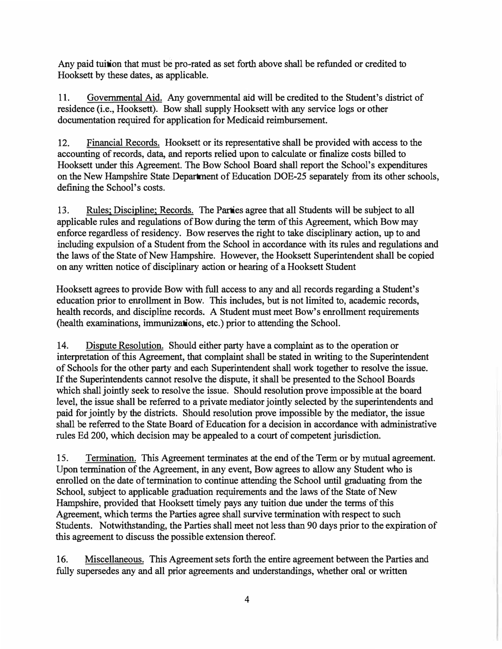**Any paid tuition that must be pro-rated as set forth above shall be refunded or credited to Hooksett by these dates, as applicable.** 

11. Governmental Aid. Any governmental aid will be credited to the Student's district of **residence (i.e., Hooksett). Bow shall supply Hooksett with any service logs or other documentation required for application for Medicaid reimbursement.**

**12. Financial Records. Hooksett or its representative shall be provided with access to the accounting of records, data, and reports relied upon to calculate or finalize costs billed to Hooksett under this Agreement. The Bow School Board shall report the School's expenditures on the New Hampshire State Department of Education DOE-25 separately from its other schools, defining the School's costs.**

**13. Rules; Discipline; Records. The Parties agree that all Students will be subject to all applicable rules and regulations of Bow during the term of this Agreement, which Bow may enforce regardless of residency. Bow reserves the right to take disciplinary action, up to and including expulsion of a Student from the School in accordance with its rules and regulations and the laws of the State of New Hampshire. However, the Hooksett Superintendent shall be copied on any written notice of disciplinary action or hearing of a Hooksett Student**

**Hooksett agrees to provide Bow with full access to any and all records regarding a Student's education prior to emollment in Bow. This includes, but is not limited to, academic records,**  health records, and discipline records. A Student must meet Bow's enrollment requirements **(health examinations, immunizations, etc.) prior to attending the School.** 

**14. Dispute Resolution. Should either party have a complaint as to the operation or interpretation of this Agreement, that complaint shall be stated in writing to the Superintendent of Schools for the other party and each Superintendent shall work together to resolve the issue. If the Superintendents cannot resolve the dispute, it shall be presented to the School Boards which shall jointly seek to resolve the issue. Should resolution prove impossible at the board level, the issue shall be referred to a private mediator jointly selected by the superintendents and paid for jointly by the districts. Should resolution prove impossible by the mediator, the issue shall be referred to the State Board of Education for a decision in accordance with administrative rules Ed 200, which decision may be appealed to a court of competent jurisdiction.**

**15. Termination. This Agreement terminates at the end of the Term or by mutual agreement. Upon termination of the Agreement, in any event, Bow agrees to allow any Student who is emolled on the date of termination to continue attending the School until graduating from the School, subject to applicable graduation requirements and the laws of the State of New Hampshire, provided that Hooksett timely pays any tuition due under the terms of this Agreement, which terms the Parties agree shall survive termination with respect to such Students. Notwithstanding, the Parties shall meet not less than 90 days prior to the expiration of this agreement to discuss the possible extension thereof.**

**16. Miscellaneous. This Agreement sets forth the entire agreement between the Parties and fully supersedes any and all prior agreements and understandings, whether oral or written**